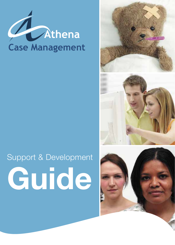

# Support & Development **Guide**

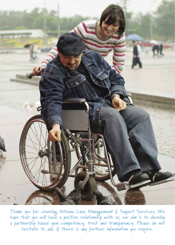

**Thank you for choosing Athena Case Management & Support Services. We hope that you will have a positive relationship with us; our aim is to develop a partnership based upon competency, trust and transparency. Please do not hesitate to ask if there is any further information you require.**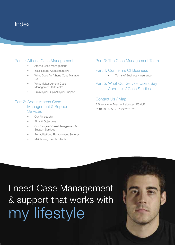## Index

#### Part 1: Athena Case Management

- Athena Case Management
- Initial Needs Assessment (INA)
- What Does An Athena Case Manager Do?
- What Makes Athena Case Management Different?
- Brain Injury / Spinal Injury Support

#### Part 2: About Athena Case Management & Support **Services**

- Our Philosophy
- Aims & Objectives
- Our Range of Case Management & Support Services
- Rehabilitation / Re-ablement Services
- Maintaining the Standards

#### Part 3: The Case Management Team

#### Part 4: Our Terms Of Business

• Terms of Business / Insurance

Part 5: What Our Service Users Say About Us / Case Studies

#### Contact Us / Map

7 Braunstone Avenue, Leicester LE3 0JF 0116 233 9356 / 07802 262 828

I need Case Management & support that works with my lifestyle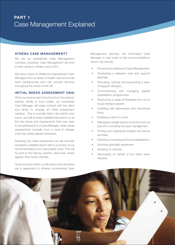## **PART 1** Case Management Explained

#### **ATHENA CASE MANAGEMENT?**

We are an established Case Management company providing Case Management services to both adults & children since 2001.

We have a team of skilled and experienced Case Managers from a variety of health care and social work backgrounds who can provide services throughout the whole of the UK.

#### **INITIAL NEEDS ASSESSMENT (INA)**

When we receive new instructions from the deputy, solicitor, family or fund holder, our nominated Case Manager will make contact with the client and family to arrange an initial assessment meeting. This is normally held in the client's own home, and will include a detailed discussion on all the key issues and requirements that may need to be addressed by a Case Manager. Initial needs assessments normally incur a travel & mileage cost only unless agreed otherwise.

Following the initial assessment we will normally complete a detailed report with a summary of our recommendations and associated costs. This will be sent to the Deputy, solicitor, client and, where agreed, their family member.

Once we have written confirmation that all parties are in agreement to Athena commencing Case

Management services, the nominated Case Manager to start work on the recommendations which may include:

- Pre and post settlement Case Management.
- Developing a bespoke care and support package.
- Recruiting, training and supervising a team of Support Workers.
- Commissioning and managing agreed rehabilitation programmes.
- Resourcing a range of therapies from our in house therapy experts.
- Assisting with placements and transitional living.
- Enabling a return to work.
- Managing a single aspect of service such as payroll to providing full case management.
- Finding and organising holidays and leisure activities.
- Advising on housing and home adaptations.
- Sourcing specialist equipment.
- Advising on vehicles.
- Advocating on behalf of the client when required.

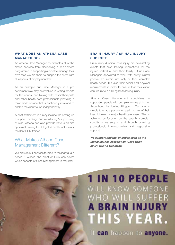#### **WHAT DOES AN ATHENA CASE MANAGER DO?**

An Athena Case Manager co-ordinates all of the above services from developing a re-ablement programme to supporting a client to manage their own staff we are there to support the client with all aspects of employment law.

As an example our Case Manager in a pre settlement role may be involved in writing reports for the courts, and liaising with physiotherapists and other health care professionals providing a tailor made service that is continually reviewed to enable the client to live independently.

A post settlement role may include the setting up a support package and monitoring & supervising of staff, Athena can also provide various on site specialist training for delegated health task via our resident RGN trainer.

## What Makes Athena Case Management Different?

We provide our services tailored to the individual's needs & wishes, the client or POA can select which aspects of Case Management is required.

#### **BRAIN INJURY / SPINAL INJURY SUPPORT**

Brain injury & spinal cord injury are devastating events that have lifelong implications for the injured individual and their family. Our Case Managers appointed to work with newly injured people are aware not only of their complex health needs, but also their social and physical requirements in order to ensure that their client can return to a fulfilling life following injury.

Athena Case Management specialises in supporting people with complex injuries at home, throughout the United Kingdom. Our aim is simple to enable people to regain control of their lives following a major healthcare event. This is achieved by focusing on the specific complex conditions we support and through providing professional, knowledgeable and responsive support.

*We support national charities such as the Spinal Injuries Association, Child Brain Injury Trust & Headway.*

## **1 IN 10 PEOPLE** WILL KNOW SOMEONE WHO WILL SUFFER **A BRAIN INJURY THIS YEAR.** It can happen to anyone.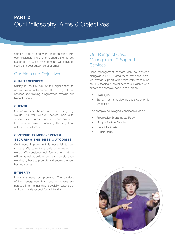## **PART 2** Our Philosophy, Aims & Objectives

Our Philosophy is to work in partnership with commissioners and clients to ensure the highest standards of Case Management; we strive to secure the best outcomes at all times.

#### Our Aims and Objectives

#### **QUALITY SERVICES**

Quality is the first aim of the organisation to achieve client satisfaction. The quality of our services and training programmes remains our highest priority.

#### **CLIENTS**

Service users are the central focus of everything we do. Our work with our service users is to support and promote independence safely in their chosen activities, ensuring the very best outcomes at all times.

#### **CONTINUOUS IMPROVEMENT & SECURING THE BEST OUTCOMES**

Continuous improvement is essential to our success. We strive for excellence in everything we do. We constantly look forward to what we will do, as well as building on the successful base we already have to promote and secure the very best outcomes.

#### **INTEGRITY**

Integrity is never compromised. The conduct of the management team and employees are pursued in a manner that is socially responsible and commands respect for its integrity.

## Our Range of Case Management & Support Services

Case Management services can be provided alongside our CQC rated 'excellent' social care; we provide support with health care tasks such as PEG feeding & bowel care to our clients who experience complex conditions such as:

- Brain injury
- Spinal injury (that also includes Autonomic Dysreflexia)

Also complex neurological conditions such as:

- Progressive Supranuclear Palsy
- Multiple System Atrophy
- **Fredericks Ataxia**
- Guillain Barre

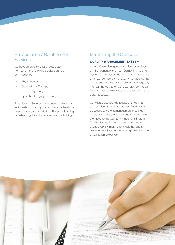## Rehabilitation / Re-ablement **Services**

We have an extensive list of associates from whom the following services can be commissioned:

- Physiotherapy
- Occupational Therapy
- Clinical Psychology
- Speech & Language Therapy

Re-ablement Services have been developed for individuals with poor physical or mental health to help them accommodate their illness by learning or re-learning the skills necessary for daily living.

## Maintaining the Standards

#### **QUALITY MANAGEMENT SYSTEM**

Athena Case Management services are delivered on the foundations of our Quality Management System which places the client at the very centre of all we do. We define 'quality' as meeting the needs and wishes of our clients. We regularly monitor the quality of work we provide through face to face review visits and spot checks to obtain feedback.

Our clients also provide feedback through an annual Client Satisfaction Survey. Feedback is discussed at Athena management meetings where outcomes are agreed and improvements are made to the Quality Management System. The Registered Manager conducts internal audits every six months to check the Quality Management System is operating in line with the organisation objectives.

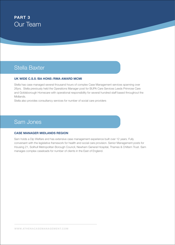## **PART 3** Our Team

## Stella Baxter

#### **UK WIDE C.S.S /BA HONS /RMA AWARD MCMI**

Stella has case managed several thousand hours of complex Case Management services spanning over 26yrs. Stella previously held the Operations Manager post for BUPA Care Services Leeds Primrose Care and Goldsborough Homecare with operational responsibility for several hundred staff based throughout the Midlands.

Stella also provides consultancy services for number of social care providers

## Sam Jones

#### **CASE MANAGER MIDLANDS REGION**

Sam holds a Dip Welfare and has extensive case management experience built over 12 years. Fully conversant with the legislative framework for health and social care provision. Senior Management posts for Housing 21, Solihull Metropolitan Borough Council, Newham General Hospital, Thames & Chiltern Trust. Sam manages complex caseloads for number of clients in the East of England.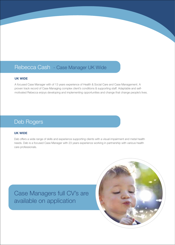## Rebecca Cash - Case Manager UK Wide

#### **UK WIDE**

A focused Case Manager with of 13 years experience of Health & Social Care and Case Management. A proven track record of Case Managing complex client's conditions & supporting staff. Adaptable and selfmotivated Rebecca enjoys developing and implementing opportunities and change that change people's lives.

## Deb Rogers

#### **UK WIDE**

Deb offers a wide range of skills and experience supporting clients with a visual impairment and metal health needs. Deb is a focused Case Manager with 23 years experience working in partnership with various health care professionals.

Case Managers full CV's are available on application

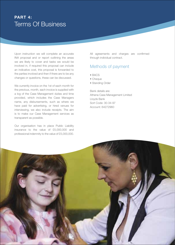## **PART 4:**  Terms Of Business

Upon instruction we will complete an accurate INA proposal and or report outlining the areas we are likely to cover and tasks we would be involved in, if required this proposal can include an indicative cost, this proposal is forwarded to the parties involved and then if there are to be any changes or questions, these can be discussed.

We currently invoice on the 1st of each month for the previous, month, each invoice is supplied with a log of the Case Management duties and time provided, which includes the Case Managers name, any disbursements, such as where we have paid for advertising, or hired venues for interviewing, we also include receipts. The aim is to make our Case Management services as transparent as possible.

Our organisation has in place Public Liability insurance to the value of £5,000,000 and professional indemnity to the value of £5,000,000. All agreements and charges are confirmed through individual contract.

#### Methods of payment

- BACS
- Cheque
- Standing Order

Bank details are: Athena Case Management Limited Lloyds Bank Sort Code: 30-34-97 Account: 64272960

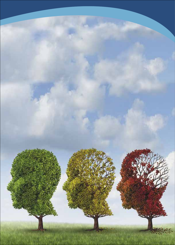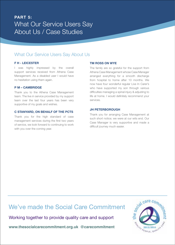## **PART 5:**  What Our Service Users Say About Us / Case Studies

## What Our Service Users Say About Us

#### **F H - LEICESTER**

I was highly impressed by the overall support services received from Athena Case Management. As a disabled user I would have no hesitation using them again.

#### **P M – CAMBRIDGE**

Thank you to the Athena Case Management team. The live in service provided by my support team over the last four years has been very supportive of my goals and wishes.

#### **C STANYARD, ON BEHALF OF THE PCTS**

Thank you for the high standard of case management services during the first two years of service, we look forward to continuing to work with you over the coming year.

#### **TM ROSS ON WYE**

The family are so grateful for the support from Athena Case Management whose Case Manager arranged everything for a smooth discharge from hospital to home after 10 months. We now have four wonderful regular Live In Carer's who have supported my son through various difficulties managing a spinal injury & adjusting to life at home. I would definitely recommend your services.

#### **JH PETERBOROUGH**

Thank you for arranging Case Management at such short notice; we were at our wits end. Our Case Manager is very supportive and made a difficult journey much easier.

## We've made the Social Care Commitment

Working together to provide quality care and support

**www.thesocialcarecommitment.org.uk @carecommitment**

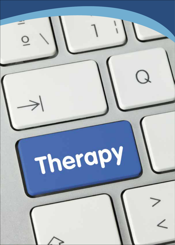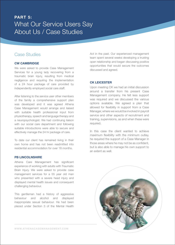## **PART 5:**  What Our Service Users Say About Us / Case Studies

## Case Studies

#### **CW CAMBRIDGE**

We were asked to provide Case Management Services for a young lady recovering from a traumatic brain injury, resulting from medical negligence and requiring the implementation of a 24 hour package of care provided by independently employed social care staff.

After listening to the service user other members of the family a comprehensive support plan was developed and it was agreed Athena Case Management would arrange and liaised with suitable health professional input from physiotherapy, speech and language therapy and a neuropsychologist. We had continuing liaison with our social care department and following suitable introductions were able to secure and effectively manage the 24 hr package of care.

To date our client has remained living in their own home and has not been readmitted into residential accommodation for over 18 months.

#### **PB LINCOLNSHIRE**

Athena Care Management has significant experience of working with adults with Traumatic Brain Injury. We were asked to provide case management services for a 55 year old man who presented with a severe head injury and displayed mental health issues and consequent challenging behaviour.

This gentleman had a history of aggressive behaviour and alcohol and displayed inappropriate sexual behaviour. He had been placed under Section 3 of the Mental Health Act in the past. Our experienced management team spent several weeks developing a trusting open relationship and began discussing positive opportunities that would secure the outcomes discussed and agreed.

#### **CK LEICESTER**

Upon meeting CK we had an initial discussion around a transfer from his present Case Management company. He felt less support was required and we discussed the various options available. We agreed a plan that allowed for flexibility in support from a Case Manager, where we would be involved in payroll service and other aspects of recruitment and training, supervisions, as and when these were required.

In this case the client wanted to achieve maximum flexibility with the minimum outlay, he required the support of a Case Manager in those areas where he may not be as confident, but is also able to manage his own support to an extent as well.

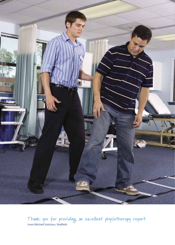

**Thank you for providing an excellent physiotherapy report.** Irwin Mitchell Solicitors, Sheffield